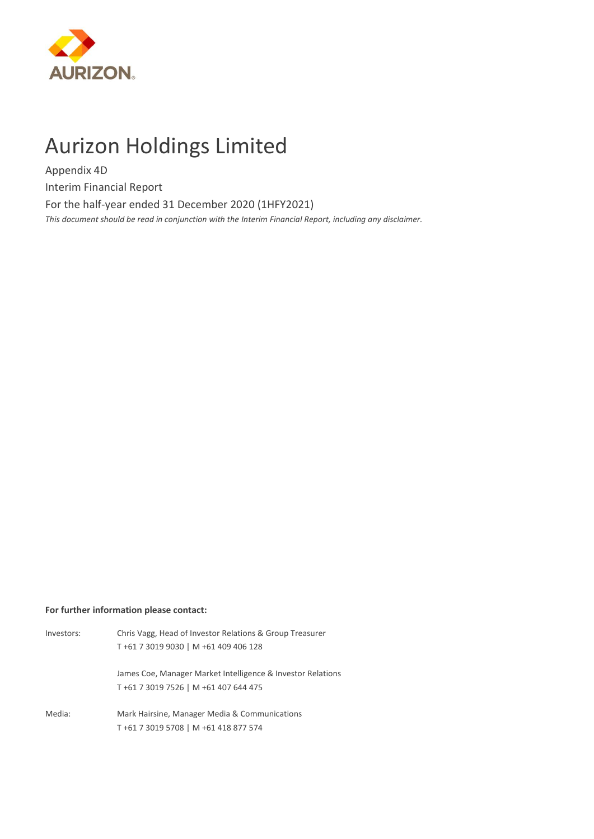

# Aurizon Holdings Limited

Appendix 4D

Interim Financial Report

For the half-year ended 31 December 2020 (1HFY2021)

*This document should be read in conjunction with the Interim Financial Report, including any disclaimer.*

# **For further information please contact:**

| Investors: | Chris Vagg, Head of Investor Relations & Group Treasurer                                            |
|------------|-----------------------------------------------------------------------------------------------------|
|            | T+61 7 3019 9030   M +61 409 406 128                                                                |
|            | James Coe, Manager Market Intelligence & Investor Relations<br>T+61 7 3019 7526   M +61 407 644 475 |
| Media:     | Mark Hairsine, Manager Media & Communications<br>T+61 7 3019 5708   M +61 418 877 574               |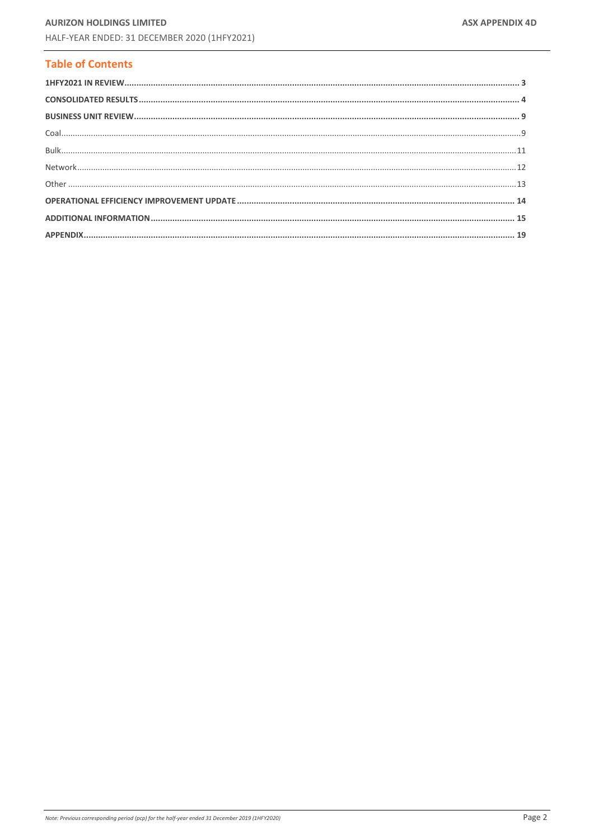# **Table of Contents**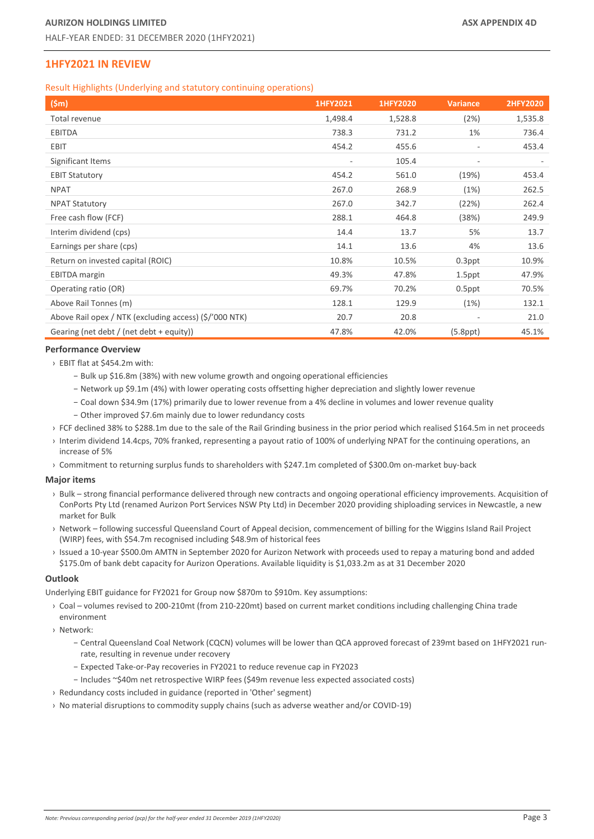# <span id="page-2-0"></span>**1HFY2021 IN REVIEW**

Result Highlights (Underlying and statutory continuing operations)

| (5m)                                                   | 1HFY2021                 | 1HFY2020 | <b>Variance</b>          | <b>2HFY2020</b> |
|--------------------------------------------------------|--------------------------|----------|--------------------------|-----------------|
| Total revenue                                          | 1,498.4                  | 1,528.8  | (2%)                     | 1,535.8         |
| <b>EBITDA</b>                                          | 738.3                    | 731.2    | 1%                       | 736.4           |
| <b>EBIT</b>                                            | 454.2                    | 455.6    | $\sim$                   | 453.4           |
| Significant Items                                      | $\overline{\phantom{a}}$ | 105.4    | $\overline{\phantom{a}}$ |                 |
| <b>EBIT Statutory</b>                                  | 454.2                    | 561.0    | (19%)                    | 453.4           |
| <b>NPAT</b>                                            | 267.0                    | 268.9    | (1%)                     | 262.5           |
| <b>NPAT Statutory</b>                                  | 267.0                    | 342.7    | (22%)                    | 262.4           |
| Free cash flow (FCF)                                   | 288.1                    | 464.8    | (38%)                    | 249.9           |
| Interim dividend (cps)                                 | 14.4                     | 13.7     | 5%                       | 13.7            |
| Earnings per share (cps)                               | 14.1                     | 13.6     | 4%                       | 13.6            |
| Return on invested capital (ROIC)                      | 10.8%                    | 10.5%    | $0.3$ ppt                | 10.9%           |
| <b>EBITDA</b> margin                                   | 49.3%                    | 47.8%    | 1.5ppt                   | 47.9%           |
| Operating ratio (OR)                                   | 69.7%                    | 70.2%    | $0.5$ ppt                | 70.5%           |
| Above Rail Tonnes (m)                                  | 128.1                    | 129.9    | (1%)                     | 132.1           |
| Above Rail opex / NTK (excluding access) (\$/'000 NTK) | 20.7                     | 20.8     | $\overline{\phantom{a}}$ | 21.0            |
| Gearing (net debt / (net debt + equity))               | 47.8%                    | 42.0%    | $(5.8$ ppt $)$           | 45.1%           |

#### **Performance Overview**

- › EBIT flat at \$454.2m with:
	- − Bulk up \$16.8m (38%) with new volume growth and ongoing operational efficiencies
	- − Network up \$9.1m (4%) with lower operating costs offsetting higher depreciation and slightly lower revenue
	- − Coal down \$34.9m (17%) primarily due to lower revenue from a 4% decline in volumes and lower revenue quality
	- − Other improved \$7.6m mainly due to lower redundancy costs
- › FCF declined 38% to \$288.1m due to the sale of the Rail Grinding business in the prior period which realised \$164.5m in net proceeds
- › Interim dividend 14.4cps, 70% franked, representing a payout ratio of 100% of underlying NPAT for the continuing operations, an increase of 5%
- › Commitment to returning surplus funds to shareholders with \$247.1m completed of \$300.0m on-market buy-back

# **Major items**

- › Bulk strong financial performance delivered through new contracts and ongoing operational efficiency improvements. Acquisition of ConPorts Pty Ltd (renamed Aurizon Port Services NSW Pty Ltd) in December 2020 providing shiploading services in Newcastle, a new market for Bulk
- › Network following successful Queensland Court of Appeal decision, commencement of billing for the Wiggins Island Rail Project (WIRP) fees, with \$54.7m recognised including \$48.9m of historical fees
- › Issued a 10-year \$500.0m AMTN in September 2020 for Aurizon Network with proceeds used to repay a maturing bond and added \$175.0m of bank debt capacity for Aurizon Operations. Available liquidity is \$1,033.2m as at 31 December 2020

#### **Outlook**

Underlying EBIT guidance for FY2021 for Group now \$870m to \$910m. Key assumptions:

› Coal – volumes revised to 200-210mt (from 210-220mt) based on current market conditions including challenging China trade environment

› Network:

- − Central Queensland Coal Network (CQCN) volumes will be lower than QCA approved forecast of 239mt based on 1HFY2021 runrate, resulting in revenue under recovery
- − Expected Take-or-Pay recoveries in FY2021 to reduce revenue cap in FY2023
- − Includes ~\$40m net retrospective WIRP fees (\$49m revenue less expected associated costs)
- › Redundancy costs included in guidance (reported in 'Other' segment)
- › No material disruptions to commodity supply chains (such as adverse weather and/or COVID-19)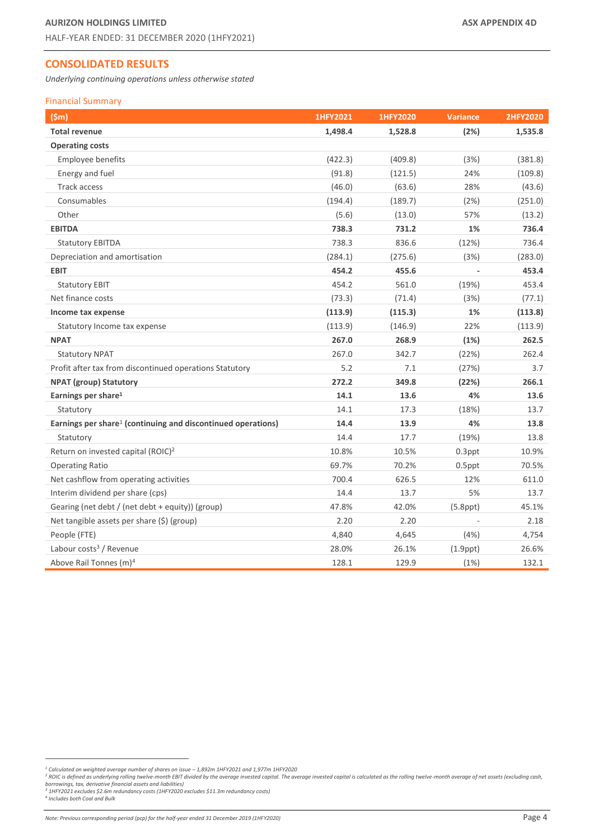# <span id="page-3-0"></span>**CONSOLIDATED RESULTS**

*Underlying continuing operations unless otherwise stated*

#### Financial Summary

<span id="page-3-1"></span>

| (Sm)                                                                     | 1HFY2021 | 1HFY2020 | <b>Variance</b> | <b>2HFY2020</b> |
|--------------------------------------------------------------------------|----------|----------|-----------------|-----------------|
| <b>Total revenue</b>                                                     | 1,498.4  | 1,528.8  | (2%)            | 1,535.8         |
| <b>Operating costs</b>                                                   |          |          |                 |                 |
| Employee benefits                                                        | (422.3)  | (409.8)  | (3%)            | (381.8)         |
| Energy and fuel                                                          | (91.8)   | (121.5)  | 24%             | (109.8)         |
| Track access                                                             | (46.0)   | (63.6)   | 28%             | (43.6)          |
| Consumables                                                              | (194.4)  | (189.7)  | (2%)            | (251.0)         |
| Other                                                                    | (5.6)    | (13.0)   | 57%             | (13.2)          |
| <b>EBITDA</b>                                                            | 738.3    | 731.2    | 1%              | 736.4           |
| <b>Statutory EBITDA</b>                                                  | 738.3    | 836.6    | (12%)           | 736.4           |
| Depreciation and amortisation                                            | (284.1)  | (275.6)  | (3%)            | (283.0)         |
| <b>EBIT</b>                                                              | 454.2    | 455.6    |                 | 453.4           |
| <b>Statutory EBIT</b>                                                    | 454.2    | 561.0    | (19%)           | 453.4           |
| Net finance costs                                                        | (73.3)   | (71.4)   | (3%)            | (77.1)          |
| Income tax expense                                                       | (113.9)  | (115.3)  | 1%              | (113.8)         |
| Statutory Income tax expense                                             | (113.9)  | (146.9)  | 22%             | (113.9)         |
| <b>NPAT</b>                                                              | 267.0    | 268.9    | (1%)            | 262.5           |
| <b>Statutory NPAT</b>                                                    | 267.0    | 342.7    | (22%)           | 262.4           |
| Profit after tax from discontinued operations Statutory                  | 5.2      | 7.1      | (27%)           | 3.7             |
| <b>NPAT (group) Statutory</b>                                            | 272.2    | 349.8    | (22%)           | 266.1           |
| Earnings per share <sup>1</sup>                                          | 14.1     | 13.6     | 4%              | 13.6            |
| Statutory                                                                | 14.1     | 17.3     | (18%)           | 13.7            |
| Earnings per share <sup>1</sup> (continuing and discontinued operations) | 14.4     | 13.9     | 4%              | 13.8            |
| Statutory                                                                | 14.4     | 17.7     | (19%)           | 13.8            |
| Return on invested capital (ROIC) <sup>2</sup>                           | 10.8%    | 10.5%    | $0.3$ ppt       | 10.9%           |
| <b>Operating Ratio</b>                                                   | 69.7%    | 70.2%    | $0.5$ ppt       | 70.5%           |
| Net cashflow from operating activities                                   | 700.4    | 626.5    | 12%             | 611.0           |
| Interim dividend per share (cps)                                         | 14.4     | 13.7     | 5%              | 13.7            |
| Gearing (net debt / (net debt + equity)) (group)                         | 47.8%    | 42.0%    | $(5.8$ ppt $)$  | 45.1%           |
| Net tangible assets per share (\$) (group)                               | 2.20     | 2.20     |                 | 2.18            |
| People (FTE)                                                             | 4,840    | 4,645    | (4%)            | 4,754           |
| Labour costs <sup>3</sup> / Revenue                                      | 28.0%    | 26.1%    | $(1.9$ ppt $)$  | 26.6%           |
| Above Rail Tonnes (m) <sup>4</sup>                                       | 128.1    | 129.9    | (1%)            | 132.1           |

<sup>&</sup>lt;sup>1</sup> Calculated on weighted average number of shares on issue – 1,892m 1HFY2021 and 1,977m 1HFY2020<br><sup>2</sup> ROIC is defined as underlying rolling twelve-month EBIT divided by the average invested capital is calculated as the al

*<sup>4</sup> Includes both Coal and Bulk*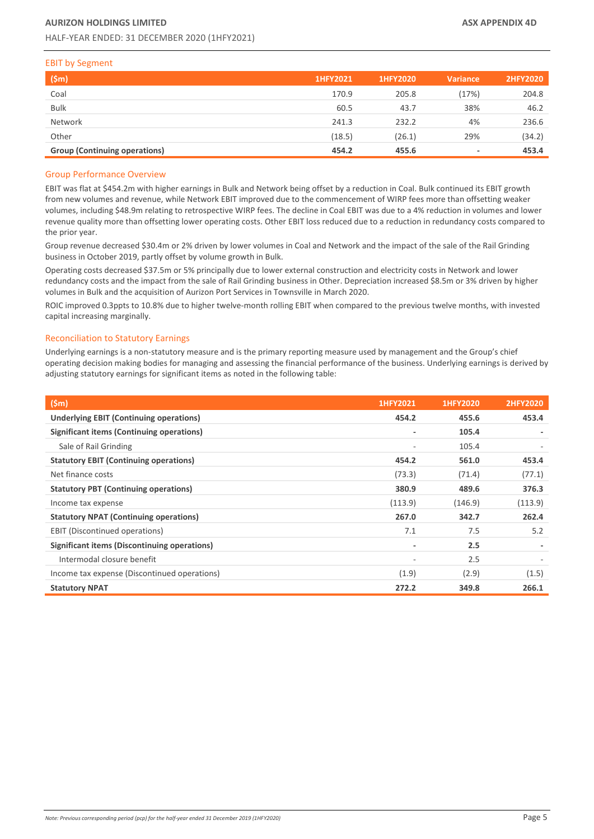#### EBIT by Segment

| (Sm)                                 | 1HFY2021 | 1HFY2020 | <b>Variance</b>          | <b>2HFY2020</b> |
|--------------------------------------|----------|----------|--------------------------|-----------------|
| Coal                                 | 170.9    | 205.8    | (17%)                    | 204.8           |
| <b>Bulk</b>                          | 60.5     | 43.7     | 38%                      | 46.2            |
| Network                              | 241.3    | 232.2    | 4%                       | 236.6           |
| Other                                | (18.5)   | (26.1)   | 29%                      | (34.2)          |
| <b>Group (Continuing operations)</b> | 454.2    | 455.6    | $\overline{\phantom{a}}$ | 453.4           |

# Group Performance Overview

EBIT was flat at \$454.2m with higher earnings in Bulk and Network being offset by a reduction in Coal. Bulk continued its EBIT growth from new volumes and revenue, while Network EBIT improved due to the commencement of WIRP fees more than offsetting weaker volumes, including \$48.9m relating to retrospective WIRP fees. The decline in Coal EBIT was due to a 4% reduction in volumes and lower revenue quality more than offsetting lower operating costs. Other EBIT loss reduced due to a reduction in redundancy costs compared to the prior year.

Group revenue decreased \$30.4m or 2% driven by lower volumes in Coal and Network and the impact of the sale of the Rail Grinding business in October 2019, partly offset by volume growth in Bulk.

Operating costs decreased \$37.5m or 5% principally due to lower external construction and electricity costs in Network and lower redundancy costs and the impact from the sale of Rail Grinding business in Other. Depreciation increased \$8.5m or 3% driven by higher volumes in Bulk and the acquisition of Aurizon Port Services in Townsville in March 2020.

ROIC improved 0.3ppts to 10.8% due to higher twelve-month rolling EBIT when compared to the previous twelve months, with invested capital increasing marginally.

#### Reconciliation to Statutory Earnings

Underlying earnings is a non-statutory measure and is the primary reporting measure used by management and the Group's chief operating decision making bodies for managing and assessing the financial performance of the business. Underlying earnings is derived by adjusting statutory earnings for significant items as noted in the following table:

| $(\mathsf{5m})$                                  | 1HFY2021 | 1HFY2020 | <b>2HFY2020</b> |
|--------------------------------------------------|----------|----------|-----------------|
| <b>Underlying EBIT (Continuing operations)</b>   | 454.2    | 455.6    | 453.4           |
| <b>Significant items (Continuing operations)</b> | ٠        | 105.4    |                 |
| Sale of Rail Grinding                            | ٠        | 105.4    |                 |
| <b>Statutory EBIT (Continuing operations)</b>    | 454.2    | 561.0    | 453.4           |
| Net finance costs                                | (73.3)   | (71.4)   | (77.1)          |
| <b>Statutory PBT (Continuing operations)</b>     | 380.9    | 489.6    | 376.3           |
| Income tax expense                               | (113.9)  | (146.9)  | (113.9)         |
| <b>Statutory NPAT (Continuing operations)</b>    | 267.0    | 342.7    | 262.4           |
| <b>EBIT</b> (Discontinued operations)            | 7.1      | 7.5      | 5.2             |
| Significant items (Discontinuing operations)     | ٠        | 2.5      |                 |
| Intermodal closure benefit                       |          | 2.5      |                 |
| Income tax expense (Discontinued operations)     | (1.9)    | (2.9)    | (1.5)           |
| <b>Statutory NPAT</b>                            | 272.2    | 349.8    | 266.1           |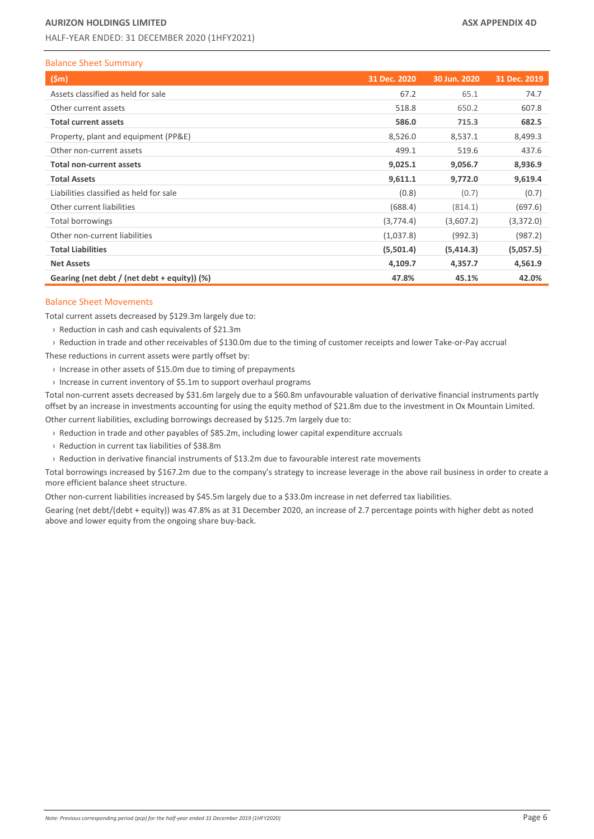# Balance Sheet Summary

| (Sm)                                         | 31 Dec. 2020 | 30 Jun. 2020 | 31 Dec. 2019 |
|----------------------------------------------|--------------|--------------|--------------|
| Assets classified as held for sale           | 67.2         | 65.1         | 74.7         |
| Other current assets                         | 518.8        | 650.2        | 607.8        |
| <b>Total current assets</b>                  | 586.0        | 715.3        | 682.5        |
| Property, plant and equipment (PP&E)         | 8,526.0      | 8,537.1      | 8,499.3      |
| Other non-current assets                     | 499.1        | 519.6        | 437.6        |
| <b>Total non-current assets</b>              | 9,025.1      | 9,056.7      | 8,936.9      |
| <b>Total Assets</b>                          | 9,611.1      | 9,772.0      | 9,619.4      |
| Liabilities classified as held for sale      | (0.8)        | (0.7)        | (0.7)        |
| Other current liabilities                    | (688.4)      | (814.1)      | (697.6)      |
| <b>Total borrowings</b>                      | (3,774.4)    | (3,607.2)    | (3,372.0)    |
| Other non-current liabilities                | (1,037.8)    | (992.3)      | (987.2)      |
| <b>Total Liabilities</b>                     | (5,501.4)    | (5, 414.3)   | (5,057.5)    |
| <b>Net Assets</b>                            | 4,109.7      | 4,357.7      | 4,561.9      |
| Gearing (net debt / (net debt + equity)) (%) | 47.8%        | 45.1%        | 42.0%        |

## Balance Sheet Movements

Total current assets decreased by \$129.3m largely due to:

- › Reduction in cash and cash equivalents of \$21.3m
- › Reduction in trade and other receivables of \$130.0m due to the timing of customer receipts and lower Take-or-Pay accrual

These reductions in current assets were partly offset by:

- › Increase in other assets of \$15.0m due to timing of prepayments
- › Increase in current inventory of \$5.1m to support overhaul programs

Total non-current assets decreased by \$31.6m largely due to a \$60.8m unfavourable valuation of derivative financial instruments partly offset by an increase in investments accounting for using the equity method of \$21.8m due to the investment in Ox Mountain Limited. Other current liabilities, excluding borrowings decreased by \$125.7m largely due to:

- › Reduction in trade and other payables of \$85.2m, including lower capital expenditure accruals
- › Reduction in current tax liabilities of \$38.8m
- › Reduction in derivative financial instruments of \$13.2m due to favourable interest rate movements

Total borrowings increased by \$167.2m due to the company's strategy to increase leverage in the above rail business in order to create a more efficient balance sheet structure.

Other non-current liabilities increased by \$45.5m largely due to a \$33.0m increase in net deferred tax liabilities.

Gearing (net debt/(debt + equity)) was 47.8% as at 31 December 2020, an increase of 2.7 percentage points with higher debt as noted above and lower equity from the ongoing share buy-back.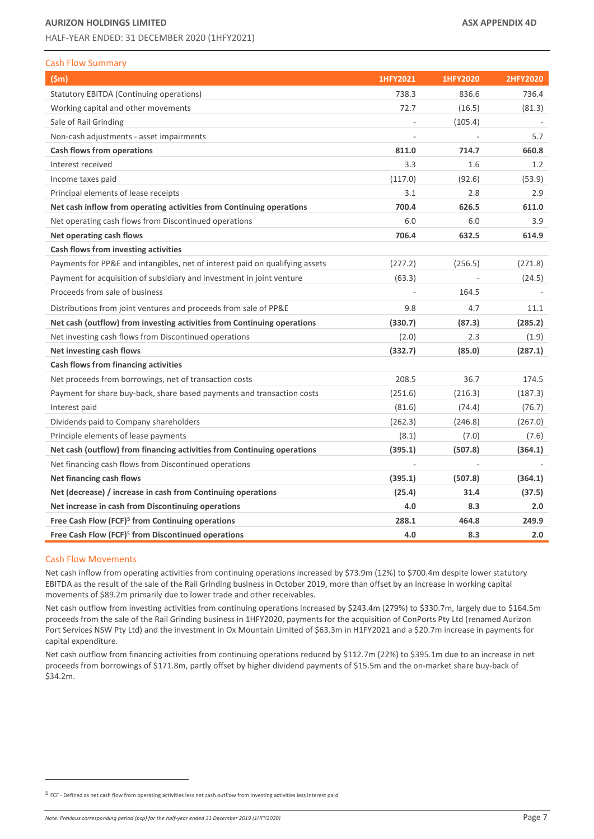# **AURIZON HOLDINGS LIMITED ASX APPENDIX 4D**

HALF-YEAR ENDED: 31 DECEMBER 2020 (1HFY2021)

|  | <b>Cash Flow Summary</b> |
|--|--------------------------|
|  |                          |

| (5m)                                                                         | 1HFY2021                 | 1HFY2020 | <b>2HFY2020</b> |
|------------------------------------------------------------------------------|--------------------------|----------|-----------------|
| Statutory EBITDA (Continuing operations)                                     | 738.3                    | 836.6    | 736.4           |
| Working capital and other movements                                          | 72.7                     | (16.5)   | (81.3)          |
| Sale of Rail Grinding                                                        |                          | (105.4)  |                 |
| Non-cash adjustments - asset impairments                                     | $\overline{\phantom{a}}$ |          | 5.7             |
| Cash flows from operations                                                   | 811.0                    | 714.7    | 660.8           |
| Interest received                                                            | 3.3                      | 1.6      | 1.2             |
| Income taxes paid                                                            | (117.0)                  | (92.6)   | (53.9)          |
| Principal elements of lease receipts                                         | 3.1                      | 2.8      | 2.9             |
| Net cash inflow from operating activities from Continuing operations         | 700.4                    | 626.5    | 611.0           |
| Net operating cash flows from Discontinued operations                        | 6.0                      | 6.0      | 3.9             |
| Net operating cash flows                                                     | 706.4                    | 632.5    | 614.9           |
| Cash flows from investing activities                                         |                          |          |                 |
| Payments for PP&E and intangibles, net of interest paid on qualifying assets | (277.2)                  | (256.5)  | (271.8)         |
| Payment for acquisition of subsidiary and investment in joint venture        | (63.3)                   |          | (24.5)          |
| Proceeds from sale of business                                               |                          | 164.5    |                 |
| Distributions from joint ventures and proceeds from sale of PP&E             | 9.8                      | 4.7      | 11.1            |
| Net cash (outflow) from investing activities from Continuing operations      | (330.7)                  | (87.3)   | (285.2)         |
| Net investing cash flows from Discontinued operations                        | (2.0)                    | 2.3      | (1.9)           |
| Net investing cash flows                                                     | (332.7)                  | (85.0)   | (287.1)         |
| Cash flows from financing activities                                         |                          |          |                 |
| Net proceeds from borrowings, net of transaction costs                       | 208.5                    | 36.7     | 174.5           |
| Payment for share buy-back, share based payments and transaction costs       | (251.6)                  | (216.3)  | (187.3)         |
| Interest paid                                                                | (81.6)                   | (74.4)   | (76.7)          |
| Dividends paid to Company shareholders                                       | (262.3)                  | (246.8)  | (267.0)         |
| Principle elements of lease payments                                         | (8.1)                    | (7.0)    | (7.6)           |
| Net cash (outflow) from financing activities from Continuing operations      | (395.1)                  | (507.8)  | (364.1)         |
| Net financing cash flows from Discontinued operations                        |                          |          |                 |
| Net financing cash flows                                                     | (395.1)                  | (507.8)  | (364.1)         |
| Net (decrease) / increase in cash from Continuing operations                 | (25.4)                   | 31.4     | (37.5)          |
| Net increase in cash from Discontinuing operations                           | 4.0                      | 8.3      | 2.0             |
| Free Cash Flow (FCF) <sup>5</sup> from Continuing operations                 | 288.1                    | 464.8    | 249.9           |
| Free Cash Flow (FCF) <sup>5</sup> from Discontinued operations               | 4.0                      | 8.3      | 2.0             |

#### <span id="page-6-0"></span>Cash Flow Movements

Net cash inflow from operating activities from continuing operations increased by \$73.9m (12%) to \$700.4m despite lower statutory EBITDA as the result of the sale of the Rail Grinding business in October 2019, more than offset by an increase in working capital movements of \$89.2m primarily due to lower trade and other receivables.

Net cash outflow from investing activities from continuing operations increased by \$243.4m (279%) to \$330.7m, largely due to \$164.5m proceeds from the sale of the Rail Grinding business in 1HFY2020, payments for the acquisition of ConPorts Pty Ltd (renamed Aurizon Port Services NSW Pty Ltd) and the investment in Ox Mountain Limited of \$63.3m in H1FY2021 and a \$20.7m increase in payments for capital expenditure.

Net cash outflow from financing activities from continuing operations reduced by \$112.7m (22%) to \$395.1m due to an increase in net proceeds from borrowings of \$171.8m, partly offset by higher dividend payments of \$15.5m and the on-market share buy-back of \$34.2m.

*Note: Previous corresponding period (pcp) for the half-year ended 31 December 2019 (1HFY2020)* Page 7 **Page 7** 

<sup>5</sup> FCF - Defined as net cash flow from operating activities less net cash outflow from investing activities less interest paid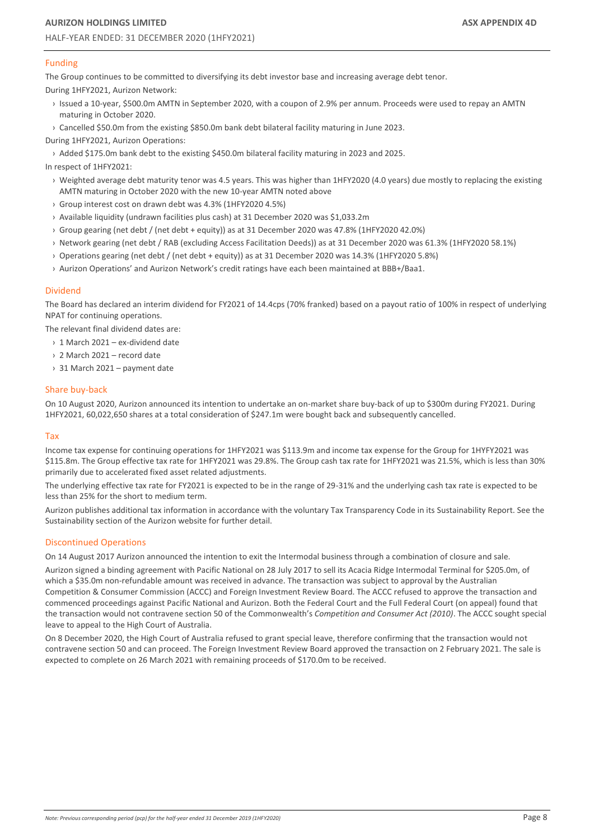# Funding

The Group continues to be committed to diversifying its debt investor base and increasing average debt tenor.

During 1HFY2021, Aurizon Network:

- › Issued a 10-year, \$500.0m AMTN in September 2020, with a coupon of 2.9% per annum. Proceeds were used to repay an AMTN maturing in October 2020.
- › Cancelled \$50.0m from the existing \$850.0m bank debt bilateral facility maturing in June 2023.

During 1HFY2021, Aurizon Operations:

› Added \$175.0m bank debt to the existing \$450.0m bilateral facility maturing in 2023 and 2025.

In respect of 1HFY2021:

- › Weighted average debt maturity tenor was 4.5 years. This was higher than 1HFY2020 (4.0 years) due mostly to replacing the existing AMTN maturing in October 2020 with the new 10-year AMTN noted above
- › Group interest cost on drawn debt was 4.3% (1HFY2020 4.5%)
- › Available liquidity (undrawn facilities plus cash) at 31 December 2020 was \$1,033.2m
- › Group gearing (net debt / (net debt + equity)) as at 31 December 2020 was 47.8% (1HFY2020 42.0%)
- › Network gearing (net debt / RAB (excluding Access Facilitation Deeds)) as at 31 December 2020 was 61.3% (1HFY2020 58.1%)
- › Operations gearing (net debt / (net debt + equity)) as at 31 December 2020 was 14.3% (1HFY2020 5.8%)
- › Aurizon Operations' and Aurizon Network's credit ratings have each been maintained at BBB+/Baa1.

#### Dividend

The Board has declared an interim dividend for FY2021 of 14.4cps (70% franked) based on a payout ratio of 100% in respect of underlying NPAT for continuing operations.

The relevant final dividend dates are:

- › 1 March 2021 ex-dividend date
- › 2 March 2021 record date
- › 31 March 2021 payment date

#### Share buy-back

On 10 August 2020, Aurizon announced its intention to undertake an on-market share buy-back of up to \$300m during FY2021. During 1HFY2021, 60,022,650 shares at a total consideration of \$247.1m were bought back and subsequently cancelled.

#### Tax

Income tax expense for continuing operations for 1HFY2021 was \$113.9m and income tax expense for the Group for 1HYFY2021 was \$115.8m. The Group effective tax rate for 1HFY2021 was 29.8%. The Group cash tax rate for 1HFY2021 was 21.5%, which is less than 30% primarily due to accelerated fixed asset related adjustments.

The underlying effective tax rate for FY2021 is expected to be in the range of 29-31% and the underlying cash tax rate is expected to be less than 25% for the short to medium term.

Aurizon publishes additional tax information in accordance with the voluntary Tax Transparency Code in its Sustainability Report. See the Sustainability section of the Aurizon website for further detail.

#### Discontinued Operations

On 14 August 2017 Aurizon announced the intention to exit the Intermodal business through a combination of closure and sale.

Aurizon signed a binding agreement with Pacific National on 28 July 2017 to sell its Acacia Ridge Intermodal Terminal for \$205.0m, of which a \$35.0m non-refundable amount was received in advance. The transaction was subject to approval by the Australian Competition & Consumer Commission (ACCC) and Foreign Investment Review Board. The ACCC refused to approve the transaction and commenced proceedings against Pacific National and Aurizon. Both the Federal Court and the Full Federal Court (on appeal) found that the transaction would not contravene section 50 of the Commonwealth's *Competition and Consumer Act (2010)*. The ACCC sought special leave to appeal to the High Court of Australia.

On 8 December 2020, the High Court of Australia refused to grant special leave, therefore confirming that the transaction would not contravene section 50 and can proceed. The Foreign Investment Review Board approved the transaction on 2 February 2021. The sale is expected to complete on 26 March 2021 with remaining proceeds of \$170.0m to be received.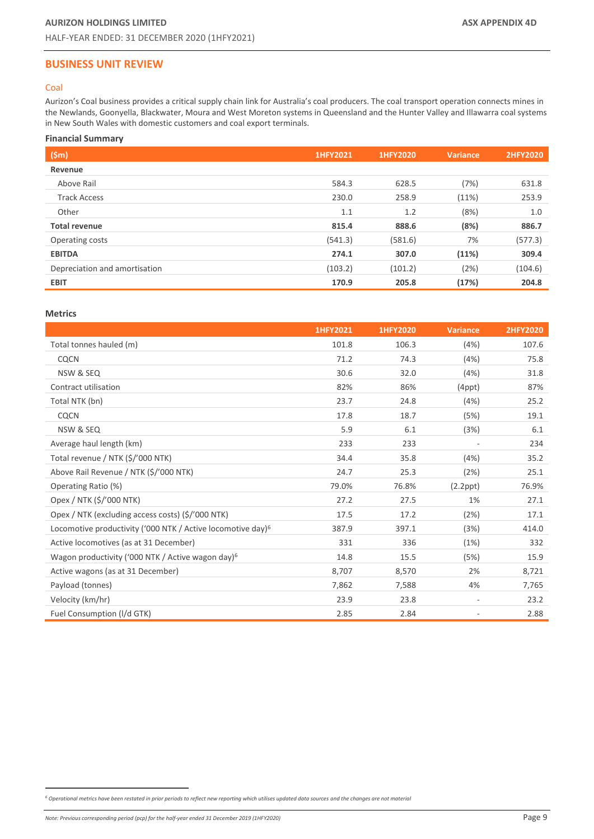# <span id="page-8-0"></span>**BUSINESS UNIT REVIEW**

# <span id="page-8-1"></span>Coal

Aurizon's Coal business provides a critical supply chain link for Australia's coal producers. The coal transport operation connects mines in the Newlands, Goonyella, Blackwater, Moura and West Moreton systems in Queensland and the Hunter Valley and Illawarra coal systems in New South Wales with domestic customers and coal export terminals.

# **Financial Summary**

| (Sm)                          | 1HFY2021 | 1HFY2020 | <b>Variance</b> | <b>2HFY2020</b> |
|-------------------------------|----------|----------|-----------------|-----------------|
| Revenue                       |          |          |                 |                 |
| Above Rail                    | 584.3    | 628.5    | (7%)            | 631.8           |
| <b>Track Access</b>           | 230.0    | 258.9    | (11%)           | 253.9           |
| Other                         | 1.1      | 1.2      | (8%)            | 1.0             |
| <b>Total revenue</b>          | 815.4    | 888.6    | (8%)            | 886.7           |
| Operating costs               | (541.3)  | (581.6)  | 7%              | (577.3)         |
| <b>EBITDA</b>                 | 274.1    | 307.0    | (11%)           | 309.4           |
| Depreciation and amortisation | (103.2)  | (101.2)  | (2%)            | (104.6)         |
| <b>EBIT</b>                   | 170.9    | 205.8    | (17%)           | 204.8           |

# **Metrics**

<span id="page-8-2"></span>

|                                                                         | 1HFY2021 | 1HFY2020 | <b>Variance</b> | <b>2HFY2020</b> |
|-------------------------------------------------------------------------|----------|----------|-----------------|-----------------|
| Total tonnes hauled (m)                                                 | 101.8    | 106.3    | (4%)            | 107.6           |
| CQCN                                                                    | 71.2     | 74.3     | (4%)            | 75.8            |
| NSW & SEQ                                                               | 30.6     | 32.0     | (4%)            | 31.8            |
| Contract utilisation                                                    | 82%      | 86%      | $(4$ ppt $)$    | 87%             |
| Total NTK (bn)                                                          | 23.7     | 24.8     | (4%)            | 25.2            |
| CQCN                                                                    | 17.8     | 18.7     | (5%)            | 19.1            |
| NSW & SEQ                                                               | 5.9      | 6.1      | (3%)            | 6.1             |
| Average haul length (km)                                                | 233      | 233      |                 | 234             |
| Total revenue / NTK (\$/'000 NTK)                                       | 34.4     | 35.8     | (4%)            | 35.2            |
| Above Rail Revenue / NTK (\$/'000 NTK)                                  | 24.7     | 25.3     | (2%)            | 25.1            |
| Operating Ratio (%)                                                     | 79.0%    | 76.8%    | $(2.2$ ppt $)$  | 76.9%           |
| Opex / NTK (\$/'000 NTK)                                                | 27.2     | 27.5     | 1%              | 27.1            |
| Opex / NTK (excluding access costs) (\$/'000 NTK)                       | 17.5     | 17.2     | (2%)            | 17.1            |
| Locomotive productivity ('000 NTK / Active locomotive day) <sup>6</sup> | 387.9    | 397.1    | (3%)            | 414.0           |
| Active locomotives (as at 31 December)                                  | 331      | 336      | (1%)            | 332             |
| Wagon productivity ('000 NTK / Active wagon day) <sup>6</sup>           | 14.8     | 15.5     | (5%)            | 15.9            |
| Active wagons (as at 31 December)                                       | 8,707    | 8,570    | 2%              | 8,721           |
| Payload (tonnes)                                                        | 7,862    | 7,588    | 4%              | 7,765           |
| Velocity (km/hr)                                                        | 23.9     | 23.8     |                 | 23.2            |
| Fuel Consumption (I/d GTK)                                              | 2.85     | 2.84     |                 | 2.88            |

*<sup>6</sup> Operational metrics have been restated in prior periods to reflect new reporting which utilises updated data sources and the changes are not material*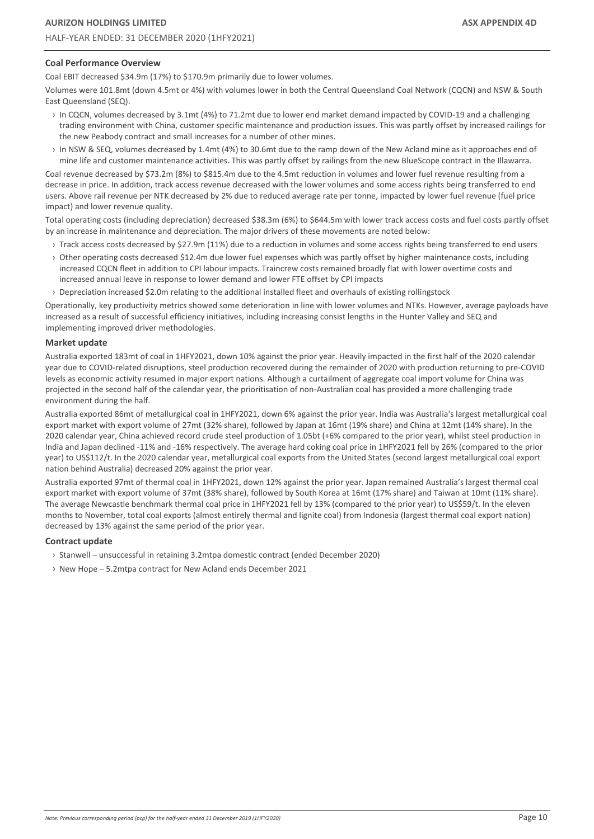## **Coal Performance Overview**

Coal EBIT decreased \$34.9m (17%) to \$170.9m primarily due to lower volumes.

Volumes were 101.8mt (down 4.5mt or 4%) with volumes lower in both the Central Queensland Coal Network (CQCN) and NSW & South East Queensland (SEQ).

- › In CQCN, volumes decreased by 3.1mt (4%) to 71.2mt due to lower end market demand impacted by COVID-19 and a challenging trading environment with China, customer specific maintenance and production issues. This was partly offset by increased railings for the new Peabody contract and small increases for a number of other mines.
- › In NSW & SEQ, volumes decreased by 1.4mt (4%) to 30.6mt due to the ramp down of the New Acland mine as it approaches end of mine life and customer maintenance activities. This was partly offset by railings from the new BlueScope contract in the Illawarra.

Coal revenue decreased by \$73.2m (8%) to \$815.4m due to the 4.5mt reduction in volumes and lower fuel revenue resulting from a decrease in price. In addition, track access revenue decreased with the lower volumes and some access rights being transferred to end users. Above rail revenue per NTK decreased by 2% due to reduced average rate per tonne, impacted by lower fuel revenue (fuel price impact) and lower revenue quality.

Total operating costs (including depreciation) decreased \$38.3m (6%) to \$644.5m with lower track access costs and fuel costs partly offset by an increase in maintenance and depreciation. The major drivers of these movements are noted below:

- › Track access costs decreased by \$27.9m (11%) due to a reduction in volumes and some access rights being transferred to end users
- › Other operating costs decreased \$12.4m due lower fuel expenses which was partly offset by higher maintenance costs, including increased CQCN fleet in addition to CPI labour impacts. Traincrew costs remained broadly flat with lower overtime costs and increased annual leave in response to lower demand and lower FTE offset by CPI impacts
- › Depreciation increased \$2.0m relating to the additional installed fleet and overhauls of existing rollingstock

Operationally, key productivity metrics showed some deterioration in line with lower volumes and NTKs. However, average payloads have increased as a result of successful efficiency initiatives, including increasing consist lengths in the Hunter Valley and SEQ and implementing improved driver methodologies.

#### **Market update**

Australia exported 183mt of coal in 1HFY2021, down 10% against the prior year. Heavily impacted in the first half of the 2020 calendar year due to COVID-related disruptions, steel production recovered during the remainder of 2020 with production returning to pre-COVID levels as economic activity resumed in major export nations. Although a curtailment of aggregate coal import volume for China was projected in the second half of the calendar year, the prioritisation of non-Australian coal has provided a more challenging trade environment during the half.

Australia exported 86mt of metallurgical coal in 1HFY2021, down 6% against the prior year. India was Australia's largest metallurgical coal export market with export volume of 27mt (32% share), followed by Japan at 16mt (19% share) and China at 12mt (14% share). In the 2020 calendar year, China achieved record crude steel production of 1.05bt (+6% compared to the prior year), whilst steel production in India and Japan declined -11% and -16% respectively. The average hard coking coal price in 1HFY2021 fell by 26% (compared to the prior year) to US\$112/t. In the 2020 calendar year, metallurgical coal exports from the United States (second largest metallurgical coal export nation behind Australia) decreased 20% against the prior year.

Australia exported 97mt of thermal coal in 1HFY2021, down 12% against the prior year. Japan remained Australia's largest thermal coal export market with export volume of 37mt (38% share), followed by South Korea at 16mt (17% share) and Taiwan at 10mt (11% share). The average Newcastle benchmark thermal coal price in 1HFY2021 fell by 13% (compared to the prior year) to US\$59/t. In the eleven months to November, total coal exports (almost entirely thermal and lignite coal) from Indonesia (largest thermal coal export nation) decreased by 13% against the same period of the prior year.

#### **Contract update**

- › Stanwell unsuccessful in retaining 3.2mtpa domestic contract (ended December 2020)
- › New Hope 5.2mtpa contract for New Acland ends December 2021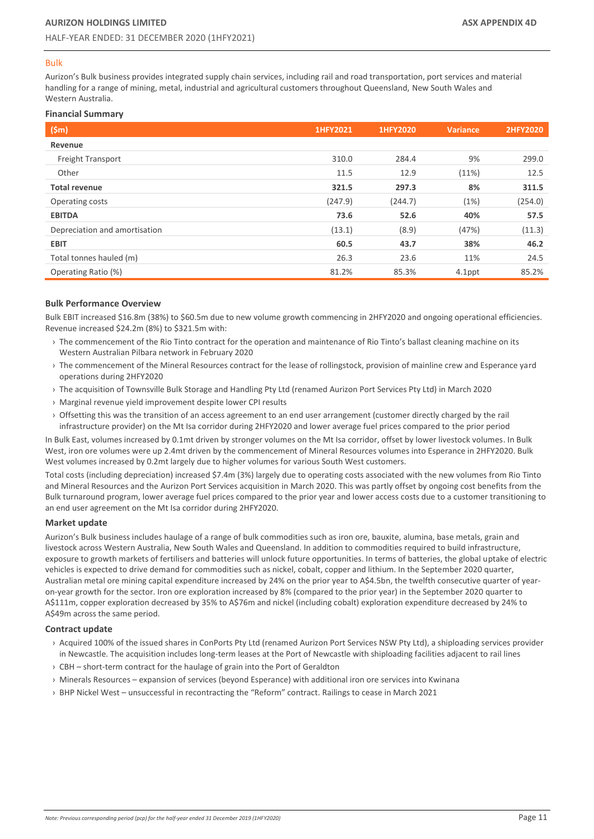#### <span id="page-10-0"></span>Bulk

Aurizon's Bulk business provides integrated supply chain services, including rail and road transportation, port services and material handling for a range of mining, metal, industrial and agricultural customers throughout Queensland, New South Wales and Western Australia.

## **Financial Summary**

| (Sm)                          | 1HFY2021 | 1HFY2020 | <b>Variance</b> | <b>2HFY2020</b> |
|-------------------------------|----------|----------|-----------------|-----------------|
| Revenue                       |          |          |                 |                 |
| <b>Freight Transport</b>      | 310.0    | 284.4    | 9%              | 299.0           |
| Other                         | 11.5     | 12.9     | (11%)           | 12.5            |
| <b>Total revenue</b>          | 321.5    | 297.3    | 8%              | 311.5           |
| Operating costs               | (247.9)  | (244.7)  | (1%)            | (254.0)         |
| <b>EBITDA</b>                 | 73.6     | 52.6     | 40%             | 57.5            |
| Depreciation and amortisation | (13.1)   | (8.9)    | (47%)           | (11.3)          |
| <b>EBIT</b>                   | 60.5     | 43.7     | 38%             | 46.2            |
| Total tonnes hauled (m)       | 26.3     | 23.6     | 11%             | 24.5            |
| Operating Ratio (%)           | 81.2%    | 85.3%    | 4.1ppt          | 85.2%           |

#### **Bulk Performance Overview**

Bulk EBIT increased \$16.8m (38%) to \$60.5m due to new volume growth commencing in 2HFY2020 and ongoing operational efficiencies. Revenue increased \$24.2m (8%) to \$321.5m with:

- › The commencement of the Rio Tinto contract for the operation and maintenance of Rio Tinto's ballast cleaning machine on its Western Australian Pilbara network in February 2020
- › The commencement of the Mineral Resources contract for the lease of rollingstock, provision of mainline crew and Esperance yard operations during 2HFY2020
- › The acquisition of Townsville Bulk Storage and Handling Pty Ltd (renamed Aurizon Port Services Pty Ltd) in March 2020
- › Marginal revenue yield improvement despite lower CPI results
- › Offsetting this was the transition of an access agreement to an end user arrangement (customer directly charged by the rail infrastructure provider) on the Mt Isa corridor during 2HFY2020 and lower average fuel prices compared to the prior period

In Bulk East, volumes increased by 0.1mt driven by stronger volumes on the Mt Isa corridor, offset by lower livestock volumes. In Bulk West, iron ore volumes were up 2.4mt driven by the commencement of Mineral Resources volumes into Esperance in 2HFY2020. Bulk West volumes increased by 0.2mt largely due to higher volumes for various South West customers.

Total costs (including depreciation) increased \$7.4m (3%) largely due to operating costs associated with the new volumes from Rio Tinto and Mineral Resources and the Aurizon Port Services acquisition in March 2020. This was partly offset by ongoing cost benefits from the Bulk turnaround program, lower average fuel prices compared to the prior year and lower access costs due to a customer transitioning to an end user agreement on the Mt Isa corridor during 2HFY2020.

#### **Market update**

Aurizon's Bulk business includes haulage of a range of bulk commodities such as iron ore, bauxite, alumina, base metals, grain and livestock across Western Australia, New South Wales and Queensland. In addition to commodities required to build infrastructure, exposure to growth markets of fertilisers and batteries will unlock future opportunities. In terms of batteries, the global uptake of electric vehicles is expected to drive demand for commodities such as nickel, cobalt, copper and lithium. In the September 2020 quarter, Australian metal ore mining capital expenditure increased by 24% on the prior year to A\$4.5bn, the twelfth consecutive quarter of yearon-year growth for the sector. Iron ore exploration increased by 8% (compared to the prior year) in the September 2020 quarter to A\$111m, copper exploration decreased by 35% to A\$76m and nickel (including cobalt) exploration expenditure decreased by 24% to A\$49m across the same period.

#### **Contract update**

- › Acquired 100% of the issued shares in ConPorts Pty Ltd (renamed Aurizon Port Services NSW Pty Ltd), a shiploading services provider in Newcastle. The acquisition includes long-term leases at the Port of Newcastle with shiploading facilities adjacent to rail lines
- › CBH short-term contract for the haulage of grain into the Port of Geraldton
- › Minerals Resources expansion of services (beyond Esperance) with additional iron ore services into Kwinana
- › BHP Nickel West unsuccessful in recontracting the "Reform" contract. Railings to cease in March 2021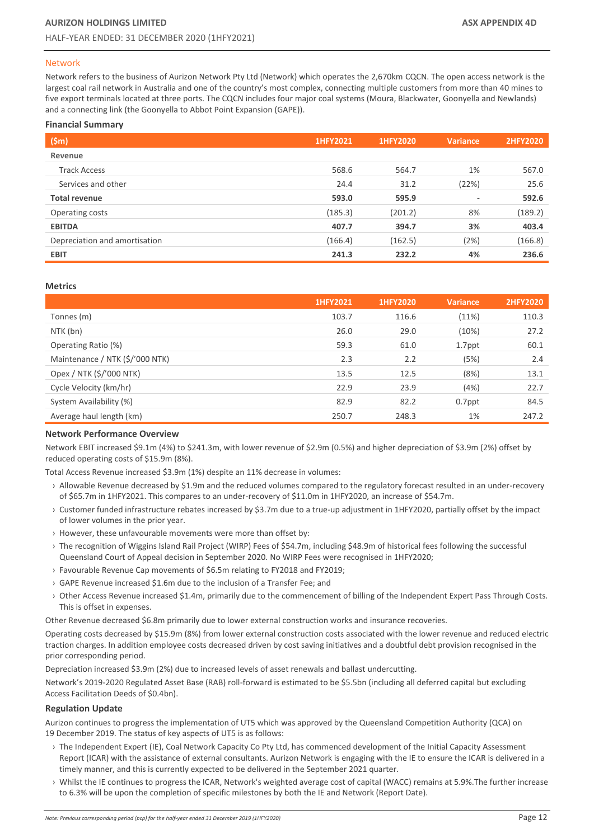#### <span id="page-11-0"></span>Network

Network refers to the business of Aurizon Network Pty Ltd (Network) which operates the 2,670km CQCN. The open access network is the largest coal rail network in Australia and one of the country's most complex, connecting multiple customers from more than 40 mines to five export terminals located at three ports. The CQCN includes four major coal systems (Moura, Blackwater, Goonyella and Newlands) and a connecting link (the Goonyella to Abbot Point Expansion (GAPE)).

# **Financial Summary**

| (Sm)                          | 1HFY2021 | 1HFY2020 | <b>Variance</b>          | <b>2HFY2020</b> |
|-------------------------------|----------|----------|--------------------------|-----------------|
| Revenue                       |          |          |                          |                 |
| <b>Track Access</b>           | 568.6    | 564.7    | 1%                       | 567.0           |
| Services and other            | 24.4     | 31.2     | (22%)                    | 25.6            |
| <b>Total revenue</b>          | 593.0    | 595.9    | $\overline{\phantom{a}}$ | 592.6           |
| Operating costs               | (185.3)  | (201.2)  | 8%                       | (189.2)         |
| <b>EBITDA</b>                 | 407.7    | 394.7    | 3%                       | 403.4           |
| Depreciation and amortisation | (166.4)  | (162.5)  | (2%)                     | (166.8)         |
| <b>EBIT</b>                   | 241.3    | 232.2    | 4%                       | 236.6           |

#### **Metrics**

|                                 | 1HFY2021 | 1HFY2020 | <b>Variance</b> | <b>2HFY2020</b> |
|---------------------------------|----------|----------|-----------------|-----------------|
| Tonnes (m)                      | 103.7    | 116.6    | (11%)           | 110.3           |
| NTK (bn)                        | 26.0     | 29.0     | (10%)           | 27.2            |
| Operating Ratio (%)             | 59.3     | 61.0     | 1.7ppt          | 60.1            |
| Maintenance / NTK (\$/'000 NTK) | 2.3      | 2.2      | (5%)            | 2.4             |
| Opex / NTK (\$/'000 NTK)        | 13.5     | 12.5     | (8%)            | 13.1            |
| Cycle Velocity (km/hr)          | 22.9     | 23.9     | (4%)            | 22.7            |
| System Availability (%)         | 82.9     | 82.2     | 0.7ppt          | 84.5            |
| Average haul length (km)        | 250.7    | 248.3    | 1%              | 247.2           |

#### **Network Performance Overview**

Network EBIT increased \$9.1m (4%) to \$241.3m, with lower revenue of \$2.9m (0.5%) and higher depreciation of \$3.9m (2%) offset by reduced operating costs of \$15.9m (8%).

Total Access Revenue increased \$3.9m (1%) despite an 11% decrease in volumes:

- › Allowable Revenue decreased by \$1.9m and the reduced volumes compared to the regulatory forecast resulted in an under-recovery of \$65.7m in 1HFY2021. This compares to an under-recovery of \$11.0m in 1HFY2020, an increase of \$54.7m.
- › Customer funded infrastructure rebates increased by \$3.7m due to a true-up adjustment in 1HFY2020, partially offset by the impact of lower volumes in the prior year.
- › However, these unfavourable movements were more than offset by:
- › The recognition of Wiggins Island Rail Project (WIRP) Fees of \$54.7m, including \$48.9m of historical fees following the successful Queensland Court of Appeal decision in September 2020. No WIRP Fees were recognised in 1HFY2020;
- › Favourable Revenue Cap movements of \$6.5m relating to FY2018 and FY2019;
- › GAPE Revenue increased \$1.6m due to the inclusion of a Transfer Fee; and
- › Other Access Revenue increased \$1.4m, primarily due to the commencement of billing of the Independent Expert Pass Through Costs. This is offset in expenses.

Other Revenue decreased \$6.8m primarily due to lower external construction works and insurance recoveries.

Operating costs decreased by \$15.9m (8%) from lower external construction costs associated with the lower revenue and reduced electric traction charges. In addition employee costs decreased driven by cost saving initiatives and a doubtful debt provision recognised in the prior corresponding period.

Depreciation increased \$3.9m (2%) due to increased levels of asset renewals and ballast undercutting.

Network's 2019-2020 Regulated Asset Base (RAB) roll-forward is estimated to be \$5.5bn (including all deferred capital but excluding Access Facilitation Deeds of \$0.4bn).

#### **Regulation Update**

Aurizon continues to progress the implementation of UT5 which was approved by the Queensland Competition Authority (QCA) on 19 December 2019. The status of key aspects of UT5 is as follows:

- › The Independent Expert (IE), Coal Network Capacity Co Pty Ltd, has commenced development of the Initial Capacity Assessment Report (ICAR) with the assistance of external consultants. Aurizon Network is engaging with the IE to ensure the ICAR is delivered in a timely manner, and this is currently expected to be delivered in the September 2021 quarter.
- › Whilst the IE continues to progress the ICAR, Network's weighted average cost of capital (WACC) remains at 5.9%.The further increase to 6.3% will be upon the completion of specific milestones by both the IE and Network (Report Date).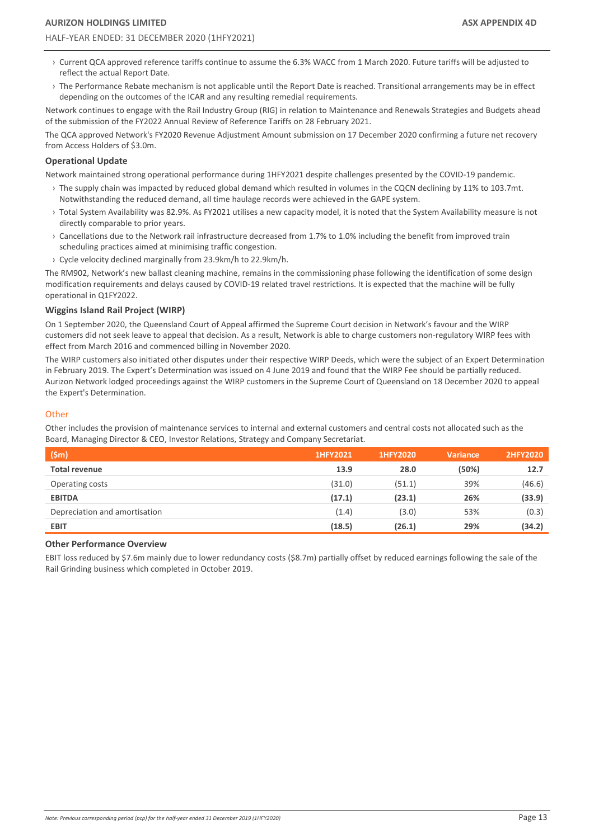- › Current QCA approved reference tariffs continue to assume the 6.3% WACC from 1 March 2020. Future tariffs will be adjusted to reflect the actual Report Date.
- › The Performance Rebate mechanism is not applicable until the Report Date is reached. Transitional arrangements may be in effect depending on the outcomes of the ICAR and any resulting remedial requirements.

Network continues to engage with the Rail Industry Group (RIG) in relation to Maintenance and Renewals Strategies and Budgets ahead of the submission of the FY2022 Annual Review of Reference Tariffs on 28 February 2021.

The QCA approved Network's FY2020 Revenue Adjustment Amount submission on 17 December 2020 confirming a future net recovery from Access Holders of \$3.0m.

## **Operational Update**

Network maintained strong operational performance during 1HFY2021 despite challenges presented by the COVID-19 pandemic.

- › The supply chain was impacted by reduced global demand which resulted in volumes in the CQCN declining by 11% to 103.7mt. Notwithstanding the reduced demand, all time haulage records were achieved in the GAPE system.
- › Total System Availability was 82.9%. As FY2021 utilises a new capacity model, it is noted that the System Availability measure is not directly comparable to prior years.
- › Cancellations due to the Network rail infrastructure decreased from 1.7% to 1.0% including the benefit from improved train scheduling practices aimed at minimising traffic congestion.
- › Cycle velocity declined marginally from 23.9km/h to 22.9km/h.

The RM902, Network's new ballast cleaning machine, remains in the commissioning phase following the identification of some design modification requirements and delays caused by COVID-19 related travel restrictions. It is expected that the machine will be fully operational in Q1FY2022.

#### **Wiggins Island Rail Project (WIRP)**

On 1 September 2020, the Queensland Court of Appeal affirmed the Supreme Court decision in Network's favour and the WIRP customers did not seek leave to appeal that decision. As a result, Network is able to charge customers non-regulatory WIRP fees with effect from March 2016 and commenced billing in November 2020.

The WIRP customers also initiated other disputes under their respective WIRP Deeds, which were the subject of an Expert Determination in February 2019. The Expert's Determination was issued on 4 June 2019 and found that the WIRP Fee should be partially reduced. Aurizon Network lodged proceedings against the WIRP customers in the Supreme Court of Queensland on 18 December 2020 to appeal the Expert's Determination.

#### <span id="page-12-0"></span>**Other**

Other includes the provision of maintenance services to internal and external customers and central costs not allocated such as the Board, Managing Director & CEO, Investor Relations, Strategy and Company Secretariat.

| (Sm)                          | 1HFY2021 | 1HFY2020 | <b>Variance</b> | 2HFY2020 |
|-------------------------------|----------|----------|-----------------|----------|
| <b>Total revenue</b>          | 13.9     | 28.0     | (50%)           | 12.7     |
| Operating costs               | (31.0)   | (51.1)   | 39%             | (46.6)   |
| <b>EBITDA</b>                 | (17.1)   | (23.1)   | 26%             | (33.9)   |
| Depreciation and amortisation | (1.4)    | (3.0)    | 53%             | (0.3)    |
| <b>EBIT</b>                   | (18.5)   | (26.1)   | 29%             | (34.2)   |

#### **Other Performance Overview**

EBIT loss reduced by \$7.6m mainly due to lower redundancy costs (\$8.7m) partially offset by reduced earnings following the sale of the Rail Grinding business which completed in October 2019.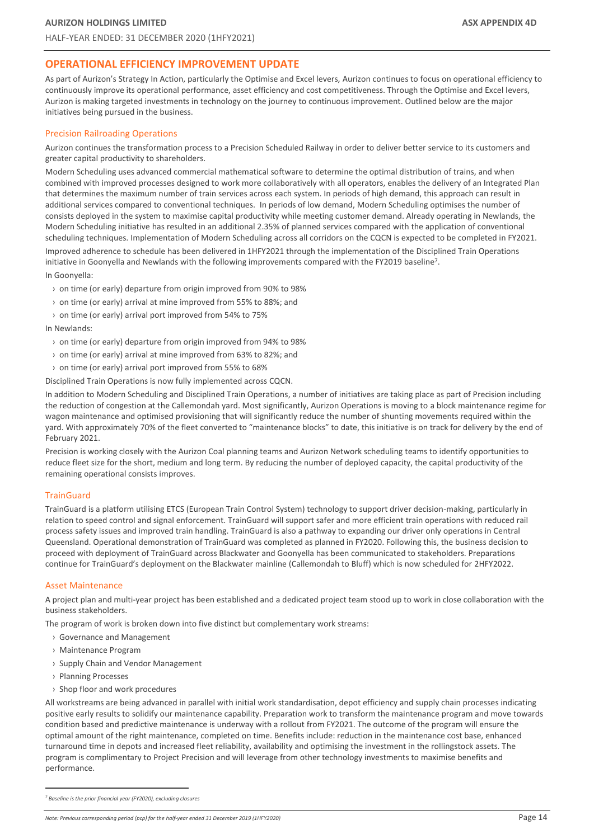# <span id="page-13-0"></span>**OPERATIONAL EFFICIENCY IMPROVEMENT UPDATE**

As part of Aurizon's Strategy In Action, particularly the Optimise and Excel levers, Aurizon continues to focus on operational efficiency to continuously improve its operational performance, asset efficiency and cost competitiveness. Through the Optimise and Excel levers, Aurizon is making targeted investments in technology on the journey to continuous improvement. Outlined below are the major initiatives being pursued in the business.

#### Precision Railroading Operations

Aurizon continues the transformation process to a Precision Scheduled Railway in order to deliver better service to its customers and greater capital productivity to shareholders.

Modern Scheduling uses advanced commercial mathematical software to determine the optimal distribution of trains, and when combined with improved processes designed to work more collaboratively with all operators, enables the delivery of an Integrated Plan that determines the maximum number of train services across each system. In periods of high demand, this approach can result in additional services compared to conventional techniques. In periods of low demand, Modern Scheduling optimises the number of consists deployed in the system to maximise capital productivity while meeting customer demand. Already operating in Newlands, the Modern Scheduling initiative has resulted in an additional 2.35% of planned services compared with the application of conventional scheduling techniques. Implementation of Modern Scheduling across all corridors on the CQCN is expected to be completed in FY2021.

Improved adherence to schedule has been delivered in 1HFY2021 through the implementation of the Disciplined Train Operations initiative in Goonyella and Newlands with the following improvements compared with the FY2019 baseline<sup>7</sup>.

In Goonyella:

- › on time (or early) departure from origin improved from 90% to 98%
- › on time (or early) arrival at mine improved from 55% to 88%; and
- › on time (or early) arrival port improved from 54% to 75%

In Newlands:

- › on time (or early) departure from origin improved from 94% to 98%
- › on time (or early) arrival at mine improved from 63% to 82%; and
- › on time (or early) arrival port improved from 55% to 68%

Disciplined Train Operations is now fully implemented across CQCN.

In addition to Modern Scheduling and Disciplined Train Operations, a number of initiatives are taking place as part of Precision including the reduction of congestion at the Callemondah yard. Most significantly, Aurizon Operations is moving to a block maintenance regime for wagon maintenance and optimised provisioning that will significantly reduce the number of shunting movements required within the yard. With approximately 70% of the fleet converted to "maintenance blocks" to date, this initiative is on track for delivery by the end of February 2021.

Precision is working closely with the Aurizon Coal planning teams and Aurizon Network scheduling teams to identify opportunities to reduce fleet size for the short, medium and long term. By reducing the number of deployed capacity, the capital productivity of the remaining operational consists improves.

## **TrainGuard**

TrainGuard is a platform utilising ETCS (European Train Control System) technology to support driver decision-making, particularly in relation to speed control and signal enforcement. TrainGuard will support safer and more efficient train operations with reduced rail process safety issues and improved train handling. TrainGuard is also a pathway to expanding our driver only operations in Central Queensland. Operational demonstration of TrainGuard was completed as planned in FY2020. Following this, the business decision to proceed with deployment of TrainGuard across Blackwater and Goonyella has been communicated to stakeholders. Preparations continue for TrainGuard's deployment on the Blackwater mainline (Callemondah to Bluff) which is now scheduled for 2HFY2022.

#### Asset Maintenance

A project plan and multi-year project has been established and a dedicated project team stood up to work in close collaboration with the business stakeholders.

The program of work is broken down into five distinct but complementary work streams:

- › Governance and Management
- › Maintenance Program
- › Supply Chain and Vendor Management
- › Planning Processes
- › Shop floor and work procedures

All workstreams are being advanced in parallel with initial work standardisation, depot efficiency and supply chain processes indicating positive early results to solidify our maintenance capability. Preparation work to transform the maintenance program and move towards condition based and predictive maintenance is underway with a rollout from FY2021. The outcome of the program will ensure the optimal amount of the right maintenance, completed on time. Benefits include: reduction in the maintenance cost base, enhanced turnaround time in depots and increased fleet reliability, availability and optimising the investment in the rollingstock assets. The program is complimentary to Project Precision and will leverage from other technology investments to maximise benefits and performance.

*<sup>7</sup> Baseline is the prior financial year (FY2020), excluding closures*

*Note: Previous corresponding period (pcp) for the half-year ended 31 December 2019 (1HFY2020)* Page 14 and the straining period (pcp) for the half-year ended 31 December 2019 (1HFY2020)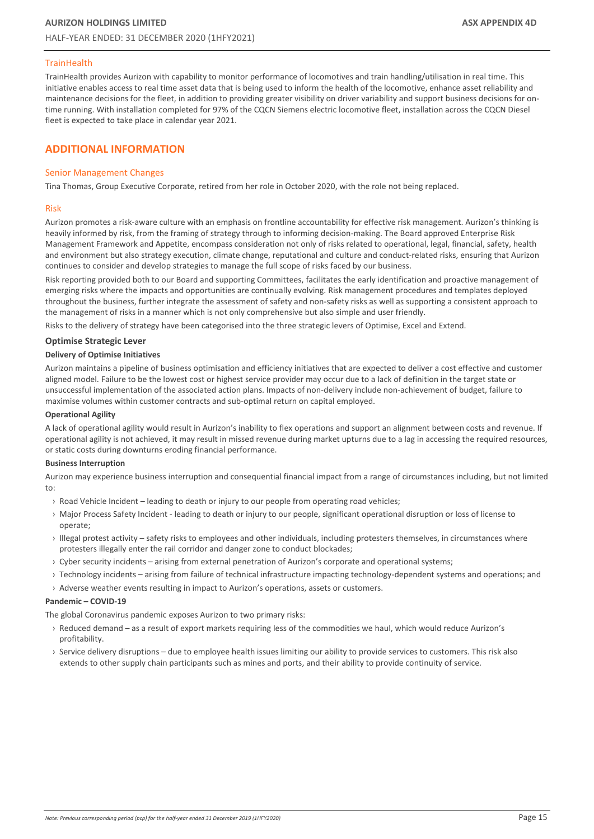## **TrainHealth**

TrainHealth provides Aurizon with capability to monitor performance of locomotives and train handling/utilisation in real time. This initiative enables access to real time asset data that is being used to inform the health of the locomotive, enhance asset reliability and maintenance decisions for the fleet, in addition to providing greater visibility on driver variability and support business decisions for ontime running. With installation completed for 97% of the CQCN Siemens electric locomotive fleet, installation across the CQCN Diesel fleet is expected to take place in calendar year 2021.

# <span id="page-14-0"></span>**ADDITIONAL INFORMATION**

#### Senior Management Changes

Tina Thomas, Group Executive Corporate, retired from her role in October 2020, with the role not being replaced.

#### Risk

Aurizon promotes a risk-aware culture with an emphasis on frontline accountability for effective risk management. Aurizon's thinking is heavily informed by risk, from the framing of strategy through to informing decision-making. The Board approved Enterprise Risk Management Framework and Appetite, encompass consideration not only of risks related to operational, legal, financial, safety, health and environment but also strategy execution, climate change, reputational and culture and conduct-related risks, ensuring that Aurizon continues to consider and develop strategies to manage the full scope of risks faced by our business.

Risk reporting provided both to our Board and supporting Committees, facilitates the early identification and proactive management of emerging risks where the impacts and opportunities are continually evolving. Risk management procedures and templates deployed throughout the business, further integrate the assessment of safety and non-safety risks as well as supporting a consistent approach to the management of risks in a manner which is not only comprehensive but also simple and user friendly.

Risks to the delivery of strategy have been categorised into the three strategic levers of Optimise, Excel and Extend.

#### **Optimise Strategic Lever**

#### **Delivery of Optimise Initiatives**

Aurizon maintains a pipeline of business optimisation and efficiency initiatives that are expected to deliver a cost effective and customer aligned model. Failure to be the lowest cost or highest service provider may occur due to a lack of definition in the target state or unsuccessful implementation of the associated action plans. Impacts of non-delivery include non-achievement of budget, failure to maximise volumes within customer contracts and sub-optimal return on capital employed.

#### **Operational Agility**

A lack of operational agility would result in Aurizon's inability to flex operations and support an alignment between costs and revenue. If operational agility is not achieved, it may result in missed revenue during market upturns due to a lag in accessing the required resources, or static costs during downturns eroding financial performance.

#### **Business Interruption**

Aurizon may experience business interruption and consequential financial impact from a range of circumstances including, but not limited to:

- › Road Vehicle Incident leading to death or injury to our people from operating road vehicles;
- › Major Process Safety Incident leading to death or injury to our people, significant operational disruption or loss of license to operate;
- › Illegal protest activity safety risks to employees and other individuals, including protesters themselves, in circumstances where protesters illegally enter the rail corridor and danger zone to conduct blockades;
- › Cyber security incidents arising from external penetration of Aurizon's corporate and operational systems;
- › Technology incidents arising from failure of technical infrastructure impacting technology-dependent systems and operations; and
- › Adverse weather events resulting in impact to Aurizon's operations, assets or customers.

#### **Pandemic – COVID-19**

The global Coronavirus pandemic exposes Aurizon to two primary risks:

- › Reduced demand as a result of export markets requiring less of the commodities we haul, which would reduce Aurizon's profitability.
- › Service delivery disruptions due to employee health issues limiting our ability to provide services to customers. This risk also extends to other supply chain participants such as mines and ports, and their ability to provide continuity of service.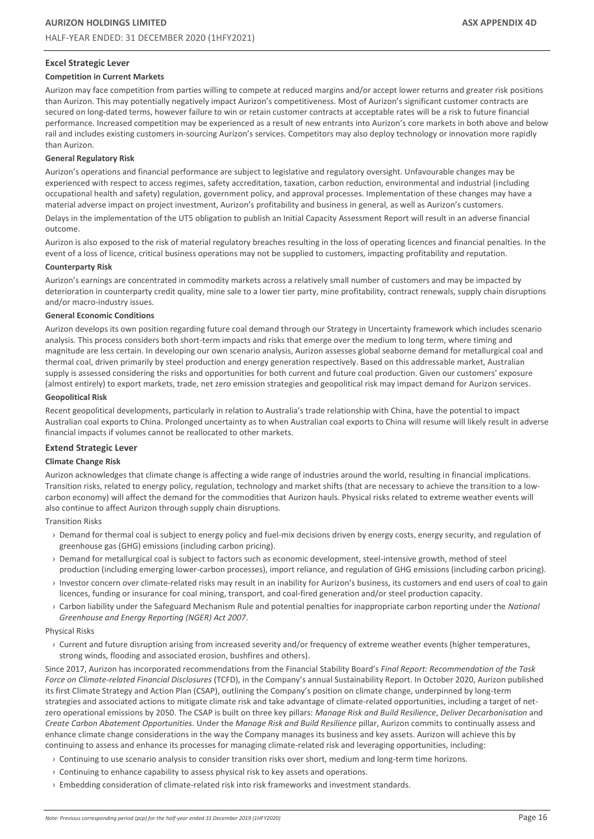#### **Excel Strategic Lever**

#### **Competition in Current Markets**

Aurizon may face competition from parties willing to compete at reduced margins and/or accept lower returns and greater risk positions than Aurizon. This may potentially negatively impact Aurizon's competitiveness. Most of Aurizon's significant customer contracts are secured on long‐dated terms, however failure to win or retain customer contracts at acceptable rates will be a risk to future financial performance. Increased competition may be experienced as a result of new entrants into Aurizon's core markets in both above and below rail and includes existing customers in-sourcing Aurizon's services. Competitors may also deploy technology or innovation more rapidly than Aurizon.

#### **General Regulatory Risk**

Aurizon's operations and financial performance are subject to legislative and regulatory oversight. Unfavourable changes may be experienced with respect to access regimes, safety accreditation, taxation, carbon reduction, environmental and industrial (including occupational health and safety) regulation, government policy, and approval processes. Implementation of these changes may have a material adverse impact on project investment, Aurizon's profitability and business in general, as well as Aurizon's customers.

Delays in the implementation of the UT5 obligation to publish an Initial Capacity Assessment Report will result in an adverse financial outcome.

Aurizon is also exposed to the risk of material regulatory breaches resulting in the loss of operating licences and financial penalties. In the event of a loss of licence, critical business operations may not be supplied to customers, impacting profitability and reputation.

#### **Counterparty Risk**

Aurizon's earnings are concentrated in commodity markets across a relatively small number of customers and may be impacted by deterioration in counterparty credit quality, mine sale to a lower tier party, mine profitability, contract renewals, supply chain disruptions and/or macro‐industry issues.

#### **General Economic Conditions**

Aurizon develops its own position regarding future coal demand through our Strategy in Uncertainty framework which includes scenario analysis. This process considers both short-term impacts and risks that emerge over the medium to long term, where timing and magnitude are less certain. In developing our own scenario analysis, Aurizon assesses global seaborne demand for metallurgical coal and thermal coal, driven primarily by steel production and energy generation respectively. Based on this addressable market, Australian supply is assessed considering the risks and opportunities for both current and future coal production. Given our customers' exposure (almost entirely) to export markets, trade, net zero emission strategies and geopolitical risk may impact demand for Aurizon services.

#### **Geopolitical Risk**

Recent geopolitical developments, particularly in relation to Australia's trade relationship with China, have the potential to impact Australian coal exports to China. Prolonged uncertainty as to when Australian coal exports to China will resume will likely result in adverse financial impacts if volumes cannot be reallocated to other markets.

#### **Extend Strategic Lever**

#### **Climate Change Risk**

Aurizon acknowledges that climate change is affecting a wide range of industries around the world, resulting in financial implications. Transition risks, related to energy policy, regulation, technology and market shifts (that are necessary to achieve the transition to a lowcarbon economy) will affect the demand for the commodities that Aurizon hauls. Physical risks related to extreme weather events will also continue to affect Aurizon through supply chain disruptions.

Transition Risks

- › Demand for thermal coal is subject to energy policy and fuel-mix decisions driven by energy costs, energy security, and regulation of greenhouse gas (GHG) emissions (including carbon pricing).
- › Demand for metallurgical coal is subject to factors such as economic development, steel-intensive growth, method of steel production (including emerging lower-carbon processes), import reliance, and regulation of GHG emissions (including carbon pricing).
- › Investor concern over climate-related risks may result in an inability for Aurizon's business, its customers and end users of coal to gain licences, funding or insurance for coal mining, transport, and coal-fired generation and/or steel production capacity.
- › Carbon liability under the Safeguard Mechanism Rule and potential penalties for inappropriate carbon reporting under the *National Greenhouse and Energy Reporting (NGER) Act 2007*.

#### Physical Risks

› Current and future disruption arising from increased severity and/or frequency of extreme weather events (higher temperatures, strong winds, flooding and associated erosion, bushfires and others).

Since 2017, Aurizon has incorporated recommendations from the Financial Stability Board's *Final Report: Recommendation of the Task Force on Climate-related Financial Disclosures* (TCFD), in the Company's annual Sustainability Report. In October 2020, Aurizon published its first Climate Strategy and Action Plan (CSAP), outlining the Company's position on climate change, underpinned by long-term strategies and associated actions to mitigate climate risk and take advantage of climate-related opportunities, including a target of netzero operational emissions by 2050. The CSAP is built on three key pillars: *Manage Risk and Build Resilience*, *Deliver Decarbonisation* and *Create Carbon Abatement Opportunities*. Under the *Manage Risk and Build Resilience* pillar, Aurizon commits to continually assess and enhance climate change considerations in the way the Company manages its business and key assets. Aurizon will achieve this by continuing to assess and enhance its processes for managing climate-related risk and leveraging opportunities, including:

- › Continuing to use scenario analysis to consider transition risks over short, medium and long-term time horizons.
- › Continuing to enhance capability to assess physical risk to key assets and operations.
- › Embedding consideration of climate-related risk into risk frameworks and investment standards.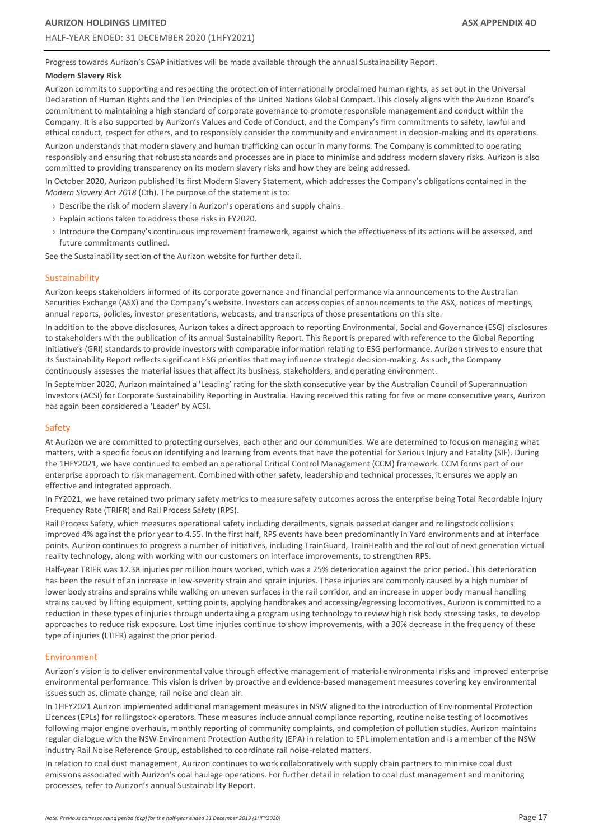Progress towards Aurizon's CSAP initiatives will be made available through the annual Sustainability Report.

#### **Modern Slavery Risk**

Aurizon commits to supporting and respecting the protection of internationally proclaimed human rights, as set out in the Universal Declaration of Human Rights and the Ten Principles of the United Nations Global Compact. This closely aligns with the Aurizon Board's commitment to maintaining a high standard of corporate governance to promote responsible management and conduct within the Company. It is also supported by Aurizon's Values and Code of Conduct, and the Company's firm commitments to safety, lawful and ethical conduct, respect for others, and to responsibly consider the community and environment in decision-making and its operations.

Aurizon understands that modern slavery and human trafficking can occur in many forms. The Company is committed to operating responsibly and ensuring that robust standards and processes are in place to minimise and address modern slavery risks. Aurizon is also committed to providing transparency on its modern slavery risks and how they are being addressed.

In October 2020, Aurizon published its first Modern Slavery Statement, which addresses the Company's obligations contained in the *Modern Slavery Act 2018* (Cth). The purpose of the statement is to:

- › Describe the risk of modern slavery in Aurizon's operations and supply chains.
- › Explain actions taken to address those risks in FY2020.
- › Introduce the Company's continuous improvement framework, against which the effectiveness of its actions will be assessed, and future commitments outlined.

See the Sustainability section of the Aurizon website for further detail.

#### Sustainability

Aurizon keeps stakeholders informed of its corporate governance and financial performance via announcements to the Australian Securities Exchange (ASX) and the Company's website. Investors can access copies of announcements to the ASX, notices of meetings, annual reports, policies, investor presentations, webcasts, and transcripts of those presentations on this site.

In addition to the above disclosures, Aurizon takes a direct approach to reporting Environmental, Social and Governance (ESG) disclosures to stakeholders with the publication of its annual Sustainability Report. This Report is prepared with reference to the Global Reporting Initiative's (GRI) standards to provide investors with comparable information relating to ESG performance. Aurizon strives to ensure that its Sustainability Report reflects significant ESG priorities that may influence strategic decision-making. As such, the Company continuously assesses the material issues that affect its business, stakeholders, and operating environment.

In September 2020, Aurizon maintained a 'Leading' rating for the sixth consecutive year by the Australian Council of Superannuation Investors (ACSI) for Corporate Sustainability Reporting in Australia. Having received this rating for five or more consecutive years, Aurizon has again been considered a 'Leader' by ACSI.

#### Safety

At Aurizon we are committed to protecting ourselves, each other and our communities. We are determined to focus on managing what matters, with a specific focus on identifying and learning from events that have the potential for Serious Injury and Fatality (SIF). During the 1HFY2021, we have continued to embed an operational Critical Control Management (CCM) framework. CCM forms part of our enterprise approach to risk management. Combined with other safety, leadership and technical processes, it ensures we apply an effective and integrated approach.

In FY2021, we have retained two primary safety metrics to measure safety outcomes across the enterprise being Total Recordable Injury Frequency Rate (TRIFR) and Rail Process Safety (RPS).

Rail Process Safety, which measures operational safety including derailments, signals passed at danger and rollingstock collisions improved 4% against the prior year to 4.55. In the first half, RPS events have been predominantly in Yard environments and at interface points. Aurizon continues to progress a number of initiatives, including TrainGuard, TrainHealth and the rollout of next generation virtual reality technology, along with working with our customers on interface improvements, to strengthen RPS.

Half-year TRIFR was 12.38 injuries per million hours worked, which was a 25% deterioration against the prior period. This deterioration has been the result of an increase in low-severity strain and sprain injuries. These injuries are commonly caused by a high number of lower body strains and sprains while walking on uneven surfaces in the rail corridor, and an increase in upper body manual handling strains caused by lifting equipment, setting points, applying handbrakes and accessing/egressing locomotives. Aurizon is committed to a reduction in these types of injuries through undertaking a program using technology to review high risk body stressing tasks, to develop approaches to reduce risk exposure. Lost time injuries continue to show improvements, with a 30% decrease in the frequency of these type of injuries (LTIFR) against the prior period.

#### Environment

Aurizon's vision is to deliver environmental value through effective management of material environmental risks and improved enterprise environmental performance. This vision is driven by proactive and evidence-based management measures covering key environmental issues such as, climate change, rail noise and clean air.

In 1HFY2021 Aurizon implemented additional management measures in NSW aligned to the introduction of Environmental Protection Licences (EPLs) for rollingstock operators. These measures include annual compliance reporting, routine noise testing of locomotives following major engine overhauls, monthly reporting of community complaints, and completion of pollution studies. Aurizon maintains regular dialogue with the NSW Environment Protection Authority (EPA) in relation to EPL implementation and is a member of the NSW industry Rail Noise Reference Group, established to coordinate rail noise-related matters.

In relation to coal dust management, Aurizon continues to work collaboratively with supply chain partners to minimise coal dust emissions associated with Aurizon's coal haulage operations. For further detail in relation to coal dust management and monitoring processes, refer to Aurizon's annual Sustainability Report.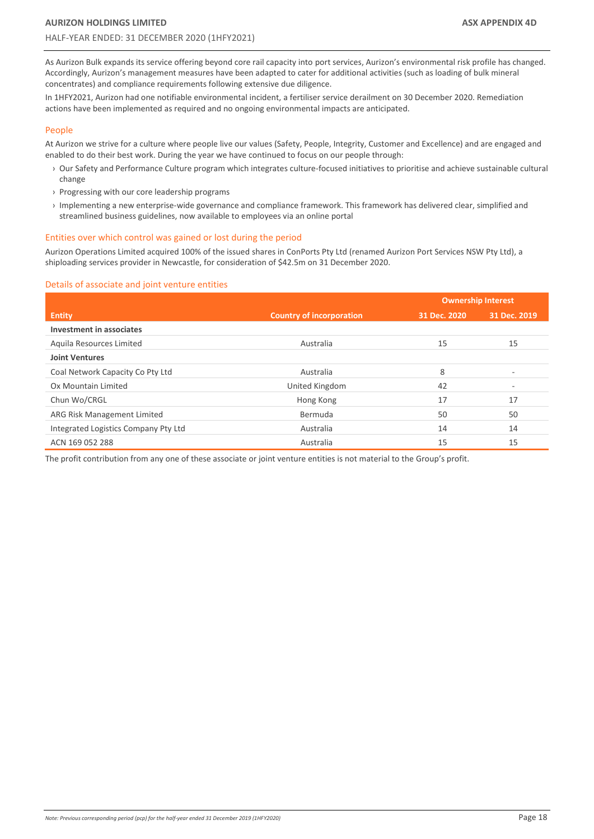As Aurizon Bulk expands its service offering beyond core rail capacity into port services, Aurizon's environmental risk profile has changed. Accordingly, Aurizon's management measures have been adapted to cater for additional activities (such as loading of bulk mineral concentrates) and compliance requirements following extensive due diligence.

In 1HFY2021, Aurizon had one notifiable environmental incident, a fertiliser service derailment on 30 December 2020. Remediation actions have been implemented as required and no ongoing environmental impacts are anticipated.

#### People

At Aurizon we strive for a culture where people live our values (Safety, People, Integrity, Customer and Excellence) and are engaged and enabled to do their best work. During the year we have continued to focus on our people through:

- › Our Safety and Performance Culture program which integrates culture-focused initiatives to prioritise and achieve sustainable cultural change
- › Progressing with our core leadership programs
- › Implementing a new enterprise-wide governance and compliance framework. This framework has delivered clear, simplified and streamlined business guidelines, now available to employees via an online portal

#### Entities over which control was gained or lost during the period

Aurizon Operations Limited acquired 100% of the issued shares in ConPorts Pty Ltd (renamed Aurizon Port Services NSW Pty Ltd), a shiploading services provider in Newcastle, for consideration of \$42.5m on 31 December 2020.

#### Details of associate and joint venture entities

|                                      |                                 | <b>Ownership Interest</b> |              |
|--------------------------------------|---------------------------------|---------------------------|--------------|
| <b>Entity</b>                        | <b>Country of incorporation</b> | 31 Dec. 2020              | 31 Dec. 2019 |
| Investment in associates             |                                 |                           |              |
| Aquila Resources Limited             | Australia                       | 15                        | 15           |
| <b>Joint Ventures</b>                |                                 |                           |              |
| Coal Network Capacity Co Pty Ltd     | Australia                       | 8                         | $\equiv$     |
| Ox Mountain Limited                  | United Kingdom                  | 42                        | ۰            |
| Chun Wo/CRGL                         | Hong Kong                       | 17                        | 17           |
| ARG Risk Management Limited          | <b>Bermuda</b>                  | 50                        | 50           |
| Integrated Logistics Company Pty Ltd | Australia                       | 14                        | 14           |
| ACN 169 052 288                      | Australia                       | 15                        | 15           |

The profit contribution from any one of these associate or joint venture entities is not material to the Group's profit.